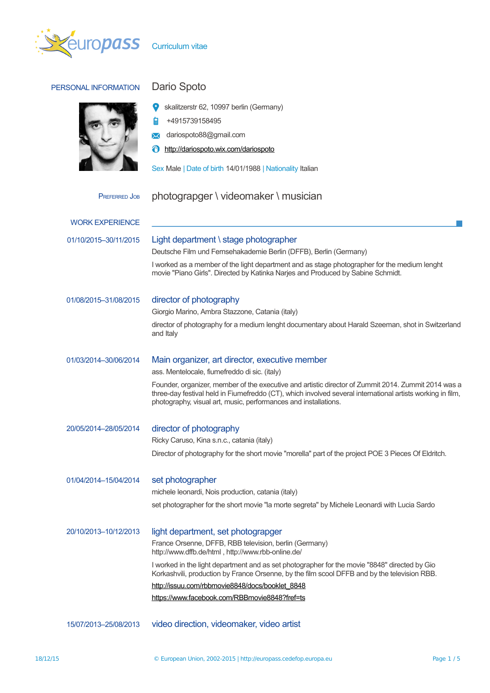

| PERSONAL INFORMATION   | Dario Spoto                                                                                                                                                                                                                                                                          |
|------------------------|--------------------------------------------------------------------------------------------------------------------------------------------------------------------------------------------------------------------------------------------------------------------------------------|
|                        | skalitzerstr 62, 10997 berlin (Germany)                                                                                                                                                                                                                                              |
|                        | +4915739158495                                                                                                                                                                                                                                                                       |
|                        | dariospoto88@gmail.com<br>✕                                                                                                                                                                                                                                                          |
|                        | http://dariospoto.wix.com/dariospoto<br>Ô                                                                                                                                                                                                                                            |
|                        | Sex Male   Date of birth 14/01/1988   Nationality Italian                                                                                                                                                                                                                            |
| <b>PREFERRED JOB</b>   | photograpger \ videomaker \ musician                                                                                                                                                                                                                                                 |
| <b>WORK EXPERIENCE</b> |                                                                                                                                                                                                                                                                                      |
|                        |                                                                                                                                                                                                                                                                                      |
| 01/10/2015-30/11/2015  | Light department \ stage photographer<br>Deutsche Film und Fernsehakademie Berlin (DFFB), Berlin (Germany)                                                                                                                                                                           |
|                        | I worked as a member of the light department and as stage photographer for the medium lenght<br>movie "Piano Girls". Directed by Katinka Narjes and Produced by Sabine Schmidt.                                                                                                      |
| 01/08/2015-31/08/2015  | director of photography                                                                                                                                                                                                                                                              |
|                        | Giorgio Marino, Ambra Stazzone, Catania (italy)                                                                                                                                                                                                                                      |
|                        | director of photography for a medium lenght documentary about Harald Szeeman, shot in Switzerland<br>and Italy                                                                                                                                                                       |
| 01/03/2014-30/06/2014  | Main organizer, art director, executive member                                                                                                                                                                                                                                       |
|                        | ass. Mentelocale, fiumefreddo di sic. (italy)                                                                                                                                                                                                                                        |
|                        | Founder, organizer, member of the executive and artistic director of Zummit 2014. Zummit 2014 was a<br>three-day festival held in Fiumefreddo (CT), which involved several international artists working in film,<br>photography, visual art, music, performances and installations. |
| 20/05/2014-28/05/2014  | director of photography                                                                                                                                                                                                                                                              |
|                        | Ricky Caruso, Kina s.n.c., catania (italy)                                                                                                                                                                                                                                           |
|                        | Director of photography for the short movie "morella" part of the project POE 3 Pieces Of Eldritch.                                                                                                                                                                                  |
| 01/04/2014-15/04/2014  | set photographer                                                                                                                                                                                                                                                                     |
|                        | michele leonardi, Nois production, catania (italy)                                                                                                                                                                                                                                   |
|                        | set photographer for the short movie "la morte segreta" by Michele Leonardi with Lucia Sardo                                                                                                                                                                                         |
| 20/10/2013-10/12/2013  | light department, set photograpger                                                                                                                                                                                                                                                   |
|                        | France Orsenne, DFFB, RBB television, berlin (Germany)<br>http://www.dffb.de/html, http://www.rbb-online.de/                                                                                                                                                                         |
|                        | I worked in the light department and as set photographer for the movie "8848" directed by Gio<br>Korkashvili, production by France Orsenne, by the film scool DFFB and by the television RBB.                                                                                        |
|                        | http://issuu.com/rbbmovie8848/docs/booklet 8848                                                                                                                                                                                                                                      |
|                        | https://www.facebook.com/RBBmovie8848?fref=ts                                                                                                                                                                                                                                        |
| 15/07/2013-25/08/2013  | video direction, videomaker, video artist                                                                                                                                                                                                                                            |
|                        |                                                                                                                                                                                                                                                                                      |

П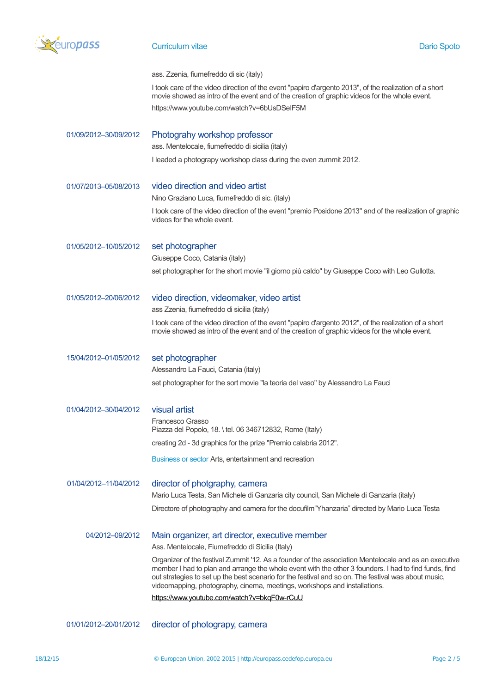

# **Curriculum vitae Dario Spoto** Dario Spoto

|                       | ass. Zzenia, fiumefreddo di sic (italy)                                                                                                                                                                                                                                                                                                                                                             |
|-----------------------|-----------------------------------------------------------------------------------------------------------------------------------------------------------------------------------------------------------------------------------------------------------------------------------------------------------------------------------------------------------------------------------------------------|
|                       | I took care of the video direction of the event "papiro d'argento 2013", of the realization of a short<br>movie showed as intro of the event and of the creation of graphic videos for the whole event.                                                                                                                                                                                             |
|                       | https://www.youtube.com/watch?v=6bUsDSeIF5M                                                                                                                                                                                                                                                                                                                                                         |
| 01/09/2012-30/09/2012 | Photograhy workshop professor                                                                                                                                                                                                                                                                                                                                                                       |
|                       | ass. Mentelocale, fiumefreddo di sicilia (italy)                                                                                                                                                                                                                                                                                                                                                    |
|                       | I leaded a photograpy workshop class during the even zummit 2012.                                                                                                                                                                                                                                                                                                                                   |
| 01/07/2013-05/08/2013 | video direction and video artist                                                                                                                                                                                                                                                                                                                                                                    |
|                       | Nino Graziano Luca, fiumefreddo di sic. (italy)                                                                                                                                                                                                                                                                                                                                                     |
|                       | I took care of the video direction of the event "premio Posidone 2013" and of the realization of graphic<br>videos for the whole event.                                                                                                                                                                                                                                                             |
| 01/05/2012-10/05/2012 | set photographer                                                                                                                                                                                                                                                                                                                                                                                    |
|                       | Giuseppe Coco, Catania (italy)                                                                                                                                                                                                                                                                                                                                                                      |
|                       | set photographer for the short movie "il giorno più caldo" by Giuseppe Coco with Leo Gullotta.                                                                                                                                                                                                                                                                                                      |
| 01/05/2012-20/06/2012 | video direction, videomaker, video artist                                                                                                                                                                                                                                                                                                                                                           |
|                       | ass Zzenia, fiumefreddo di sicilia (italy)                                                                                                                                                                                                                                                                                                                                                          |
|                       | I took care of the video direction of the event "papiro d'argento 2012", of the realization of a short<br>movie showed as intro of the event and of the creation of graphic videos for the whole event.                                                                                                                                                                                             |
| 15/04/2012-01/05/2012 | set photographer                                                                                                                                                                                                                                                                                                                                                                                    |
|                       | Alessandro La Fauci, Catania (italy)                                                                                                                                                                                                                                                                                                                                                                |
|                       | set photographer for the sort movie "la teoria del vaso" by Alessandro La Fauci                                                                                                                                                                                                                                                                                                                     |
| 01/04/2012-30/04/2012 | visual artist                                                                                                                                                                                                                                                                                                                                                                                       |
|                       | Francesco Grasso<br>Piazza del Popolo, 18. \tel. 06 346712832, Rome (Italy)                                                                                                                                                                                                                                                                                                                         |
|                       | creating 2d - 3d graphics for the prize "Premio calabria 2012".                                                                                                                                                                                                                                                                                                                                     |
|                       |                                                                                                                                                                                                                                                                                                                                                                                                     |
|                       | Business or sector Arts, entertainment and recreation                                                                                                                                                                                                                                                                                                                                               |
| 01/04/2012-11/04/2012 | director of photgraphy, camera<br>Mario Luca Testa, San Michele di Ganzaria city council, San Michele di Ganzaria (italy)                                                                                                                                                                                                                                                                           |
|                       |                                                                                                                                                                                                                                                                                                                                                                                                     |
|                       | Directore of photography and camera for the docufilm "Yhanzaria" directed by Mario Luca Testa                                                                                                                                                                                                                                                                                                       |
| 04/2012-09/2012       | Main organizer, art director, executive member                                                                                                                                                                                                                                                                                                                                                      |
|                       | Ass. Mentelocale, Fiumefreddo di Sicilia (Italy)                                                                                                                                                                                                                                                                                                                                                    |
|                       | Organizer of the festival Zummit '12. As a founder of the association Mentelocale and as an executive<br>member I had to plan and arrange the whole event with the other 3 founders. I had to find funds, find<br>out strategies to set up the best scenario for the festival and so on. The festival was about music,<br>videomapping, photography, cinema, meetings, workshops and installations. |
|                       | https://www.youtube.com/watch?v=bkqF0w-rCuU                                                                                                                                                                                                                                                                                                                                                         |
| 01/01/2012-20/01/2012 | director of photograpy, camera                                                                                                                                                                                                                                                                                                                                                                      |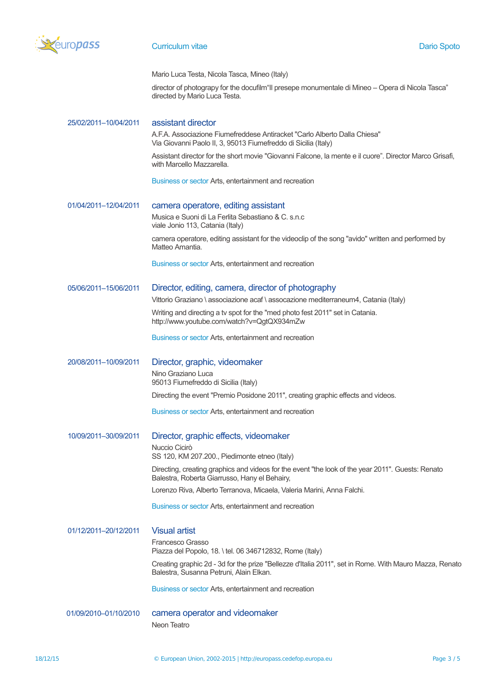

### **Curriculum vitae Dario Spoto** Dario Spoto Dario Spoto Dario Spoto

Mario Luca Testa, Nicola Tasca, Mineo (Italy)

director of photograpy for the docufilm"|| presepe monumentale di Mineo - Opera di Nicola Tasca" directed by Mario Luca Testa.

25/02/2011–10/04/2011 assistant director

A.F.A. Associazione Fiumefreddese Antiracket "Carlo Alberto Dalla Chiesa" Via Giovanni Paolo II, 3, 95013 Fiumefreddo di Sicilia (Italy)

Assistant director for the short movie "Giovanni Falcone, la mente e il cuore". Director Marco Grisafi, with Marcello Mazzarella.

Business or sector Arts, entertainment and recreation

### 01/04/2011–12/04/2011 camera operatore, editing assistant

Musica e Suoni di La Ferlita Sebastiano & C. s.n.c viale Jonio 113, Catania (Italy)

camera operatore, editing assistant for the videoclip of the song "avido" written and performed by Matteo Amantia.

Business or sector Arts, entertainment and recreation

# 05/06/2011–15/06/2011 Director, editing, camera, director of photography

Vittorio Graziano \ associazione acaf \ assocazione mediterraneum4, Catania (Italy)

Writing and directing a tv spot for the "med photo fest 2011" set in Catania. http://www.youtube.com/watch?v=QgtQX934mZw

Business or sector Arts, entertainment and recreation

# 20/08/2011–10/09/2011 Director, graphic, videomaker

Nino Graziano Luca 95013 Fiumefreddo di Sicilia (Italy) Directing the event "Premio Posidone 2011", creating graphic effects and videos.

Business or sector Arts, entertainment and recreation

10/09/2011–30/09/2011 Director, graphic effects, videomaker Nuccio Cicirò SS 120, KM 207.200., Piedimonte etneo (Italy) Directing, creating graphics and videos for the event "the look of the year 2011". Guests: Renato Balestra, Roberta Giarrusso, Hany el Behairy, Lorenzo Riva, Alberto Terranova, Micaela, Valeria Marini, Anna Falchi.

Business or sector Arts, entertainment and recreation

01/12/2011–20/12/2011 Visual artist

Francesco Grasso Piazza del Popolo, 18. \ tel. 06 346712832, Rome (Italy)

Creating graphic 2d - 3d for the prize "Bellezze d'Italia 2011", set in Rome. With Mauro Mazza, Renato Balestra, Susanna Petruni, Alain Elkan.

Business or sector Arts, entertainment and recreation

01/09/2010–01/10/2010 camera operator and videomaker Neon Teatro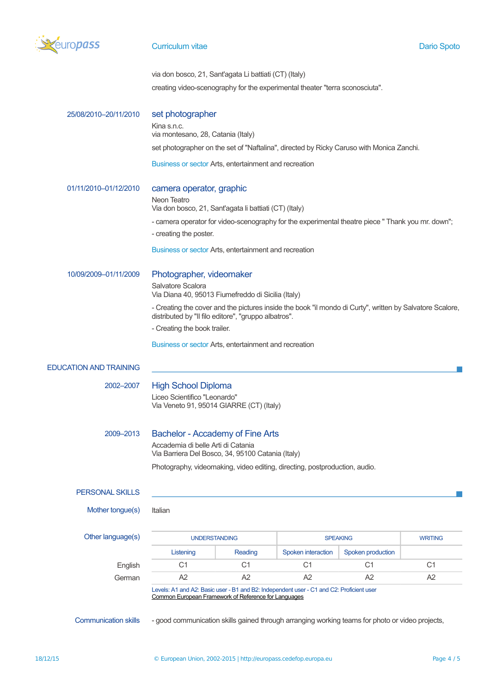

### **Curriculum vitae Dario Spoto** Dario Spoto Dario Spoto Dario Spoto

via don bosco, 21, Sant'agata Li battiati (CT) (Italy) creating video-scenography for the experimental theater "terra sconosciuta".

25/08/2010–20/11/2010 set photographer Kina s.n.c. via montesano, 28, Catania (Italy) set photographer on the set of "Naftalina", directed by Ricky Caruso with Monica Zanchi.

Business or sector Arts, entertainment and recreation

### 01/11/2010–01/12/2010 camera operator, graphic

Neon Teatro

Via don bosco, 21, Sant'agata li battiati (CT) (Italy)

- camera operator for video-scenography for the experimental theatre piece " Thank you mr. down";

- creating the poster.

Business or sector Arts, entertainment and recreation

10/09/2009–01/11/2009 Photographer, videomaker

Salvatore Scalora Via Diana 40, 95013 Fiumefreddo di Sicilia (Italy)

- Creating the cover and the pictures inside the book "il mondo di Curty", written by Salvatore Scalore, distributed by "Il filo editore", "gruppo albatros".

- Creating the book trailer.

Business or sector Arts, entertainment and recreation

### EDUCATION AND TRAINING

### 2002–2007 High School Diploma

Liceo Scientifico "Leonardo" Via Veneto 91, 95014 GIARRE (CT) (Italy)

# 2009–2013 Bachelor - Accademy of Fine Arts

Accademia di belle Arti di Catania Via Barriera Del Bosco, 34, 95100 Catania (Italy)

Photography, videomaking, video editing, directing, postproduction, audio.

### PERSONAL SKILLS

Mother tonque(s) Italian

Other language(s)

| quage(s) | <b>UNDERSTANDING</b>                                                                  |         | <b>SPEAKING</b>    | <b>WRITING</b>    |    |  |  |
|----------|---------------------------------------------------------------------------------------|---------|--------------------|-------------------|----|--|--|
|          | Listening                                                                             | Reading | Spoken interaction | Spoken production |    |  |  |
| English  | C1                                                                                    | С1      |                    |                   | C1 |  |  |
| German   | A2                                                                                    | A2      |                    | A2                | A2 |  |  |
|          | arelated And And Decision and Dollar Deliverse And Dollar Of and CO. Decision to con- |         |                    |                   |    |  |  |

s: A1 and A2: Basic user - B1 and B2: Independent user - C1 and C2: Proficient user [Common European Framework of Reference for Languages](http://europass.cedefop.europa.eu/en/resources/european-language-levels-cefr)

Communication skills - good communication skills gained through arranging working teams for photo or video projects,